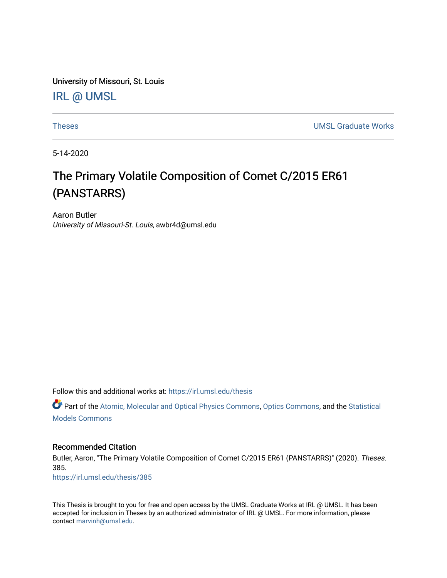University of Missouri, St. Louis [IRL @ UMSL](https://irl.umsl.edu/) 

[Theses](https://irl.umsl.edu/thesis) [UMSL Graduate Works](https://irl.umsl.edu/grad) 

5-14-2020

# The Primary Volatile Composition of Comet C/2015 ER61 (PANSTARRS)

Aaron Butler University of Missouri-St. Louis, awbr4d@umsl.edu

Follow this and additional works at: [https://irl.umsl.edu/thesis](https://irl.umsl.edu/thesis?utm_source=irl.umsl.edu%2Fthesis%2F385&utm_medium=PDF&utm_campaign=PDFCoverPages) 

Part of the [Atomic, Molecular and Optical Physics Commons,](https://network.bepress.com/hgg/discipline/195?utm_source=irl.umsl.edu%2Fthesis%2F385&utm_medium=PDF&utm_campaign=PDFCoverPages) [Optics Commons,](https://network.bepress.com/hgg/discipline/204?utm_source=irl.umsl.edu%2Fthesis%2F385&utm_medium=PDF&utm_campaign=PDFCoverPages) and the [Statistical](https://network.bepress.com/hgg/discipline/827?utm_source=irl.umsl.edu%2Fthesis%2F385&utm_medium=PDF&utm_campaign=PDFCoverPages)  [Models Commons](https://network.bepress.com/hgg/discipline/827?utm_source=irl.umsl.edu%2Fthesis%2F385&utm_medium=PDF&utm_campaign=PDFCoverPages) 

## Recommended Citation

Butler, Aaron, "The Primary Volatile Composition of Comet C/2015 ER61 (PANSTARRS)" (2020). Theses. 385.

[https://irl.umsl.edu/thesis/385](https://irl.umsl.edu/thesis/385?utm_source=irl.umsl.edu%2Fthesis%2F385&utm_medium=PDF&utm_campaign=PDFCoverPages) 

This Thesis is brought to you for free and open access by the UMSL Graduate Works at IRL @ UMSL. It has been accepted for inclusion in Theses by an authorized administrator of IRL @ UMSL. For more information, please contact [marvinh@umsl.edu.](mailto:marvinh@umsl.edu)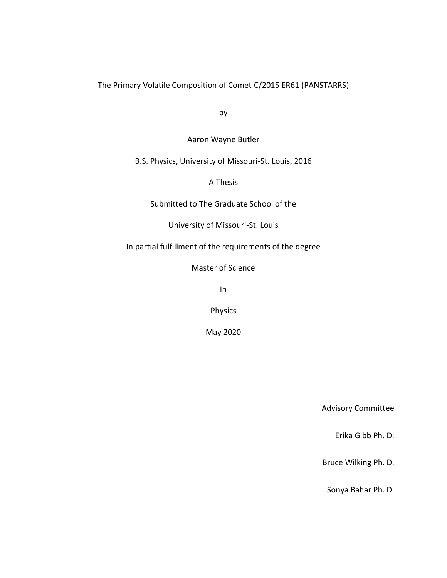The Primary Volatile Composition of Comet C/2015 ER61 (PANSTARRS)

by

Aaron Wayne Butler

B.S. Physics, University of Missouri-St. Louis, 2016

A Thesis

Submitted to The Graduate School of the

University of Missouri-St. Louis

In partial fulfillment of the requirements of the degree

Master of Science

In

Physics

May 2020

Advisory Committee

Erika Gibb Ph. D.

Bruce Wilking Ph. D.

Sonya Bahar Ph. D.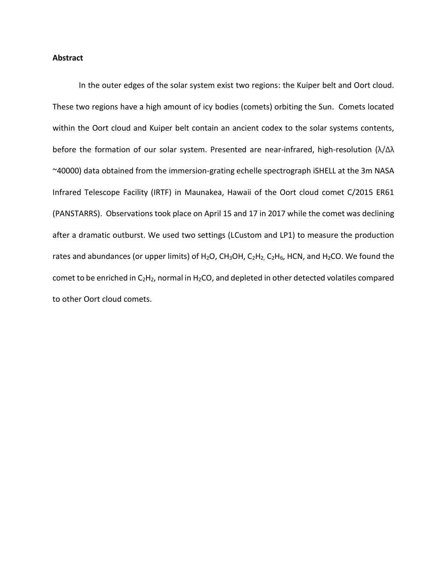## **Abstract**

In the outer edges of the solar system exist two regions: the Kuiper belt and Oort cloud. These two regions have a high amount of icy bodies (comets) orbiting the Sun. Comets located within the Oort cloud and Kuiper belt contain an ancient codex to the solar systems contents, before the formation of our solar system. Presented are near-infrared, high-resolution (λ/Δλ ~40000) data obtained from the immersion-grating echelle spectrograph iSHELL at the 3m NASA Infrared Telescope Facility (IRTF) in Maunakea, Hawaii of the Oort cloud comet C/2015 ER61 (PANSTARRS). Observations took place on April 15 and 17 in 2017 while the comet was declining after a dramatic outburst. We used two settings (LCustom and LP1) to measure the production rates and abundances (or upper limits) of H<sub>2</sub>O, CH<sub>3</sub>OH, C<sub>2</sub>H<sub>2</sub>, C<sub>2</sub>H<sub>6</sub>, HCN, and H<sub>2</sub>CO. We found the comet to be enriched in  $C_2H_2$ , normal in  $H_2CO$ , and depleted in other detected volatiles compared to other Oort cloud comets.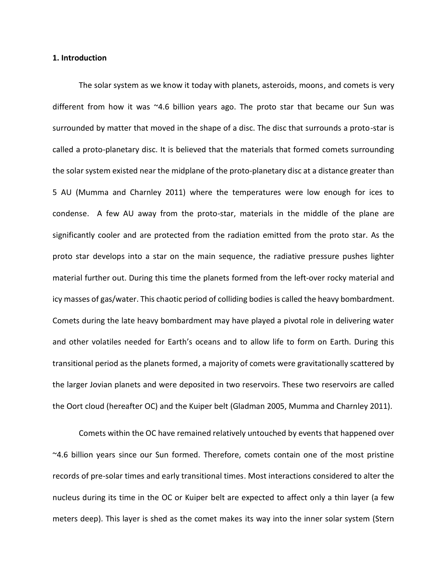#### **1. Introduction**

The solar system as we know it today with planets, asteroids, moons, and comets is very different from how it was  $\sim$ 4.6 billion years ago. The proto star that became our Sun was surrounded by matter that moved in the shape of a disc. The disc that surrounds a proto-star is called a proto-planetary disc. It is believed that the materials that formed comets surrounding the solar system existed near the midplane of the proto-planetary disc at a distance greater than 5 AU (Mumma and Charnley 2011) where the temperatures were low enough for ices to condense. A few AU away from the proto-star, materials in the middle of the plane are significantly cooler and are protected from the radiation emitted from the proto star. As the proto star develops into a star on the main sequence, the radiative pressure pushes lighter material further out. During this time the planets formed from the left-over rocky material and icy masses of gas/water. This chaotic period of colliding bodies is called the heavy bombardment. Comets during the late heavy bombardment may have played a pivotal role in delivering water and other volatiles needed for Earth's oceans and to allow life to form on Earth. During this transitional period as the planets formed, a majority of comets were gravitationally scattered by the larger Jovian planets and were deposited in two reservoirs. These two reservoirs are called the Oort cloud (hereafter OC) and the Kuiper belt (Gladman 2005, Mumma and Charnley 2011).

Comets within the OC have remained relatively untouched by events that happened over ~4.6 billion years since our Sun formed. Therefore, comets contain one of the most pristine records of pre-solar times and early transitional times. Most interactions considered to alter the nucleus during its time in the OC or Kuiper belt are expected to affect only a thin layer (a few meters deep). This layer is shed as the comet makes its way into the inner solar system (Stern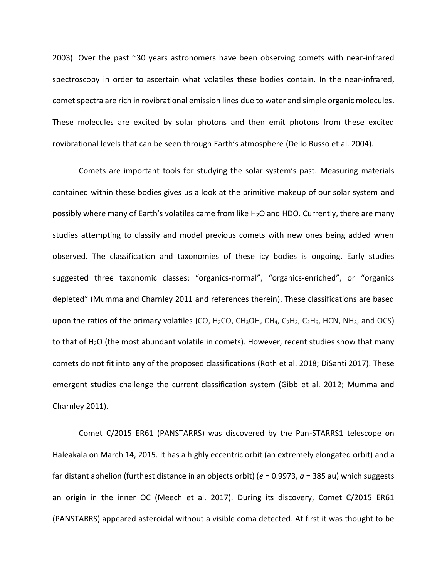2003). Over the past ~30 years astronomers have been observing comets with near-infrared spectroscopy in order to ascertain what volatiles these bodies contain. In the near-infrared, comet spectra are rich in rovibrational emission lines due to water and simple organic molecules. These molecules are excited by solar photons and then emit photons from these excited rovibrational levels that can be seen through Earth's atmosphere (Dello Russo et al. 2004).

Comets are important tools for studying the solar system's past. Measuring materials contained within these bodies gives us a look at the primitive makeup of our solar system and possibly where many of Earth's volatiles came from like H2O and HDO. Currently, there are many studies attempting to classify and model previous comets with new ones being added when observed. The classification and taxonomies of these icy bodies is ongoing. Early studies suggested three taxonomic classes: "organics-normal", "organics-enriched", or "organics depleted" (Mumma and Charnley 2011 and references therein). These classifications are based upon the ratios of the primary volatiles (CO, H<sub>2</sub>CO, CH<sub>3</sub>OH, CH<sub>4</sub>, C<sub>2</sub>H<sub>2</sub>, C<sub>2</sub>H<sub>6</sub>, HCN, NH<sub>3</sub>, and OCS) to that of  $H_2O$  (the most abundant volatile in comets). However, recent studies show that many comets do not fit into any of the proposed classifications (Roth et al. 2018; DiSanti 2017). These emergent studies challenge the current classification system (Gibb et al. 2012; Mumma and Charnley 2011).

Comet C/2015 ER61 (PANSTARRS) was discovered by the Pan-STARRS1 telescope on Haleakala on March 14, 2015. It has a highly eccentric orbit (an extremely elongated orbit) and a far distant aphelion (furthest distance in an objects orbit) (*e* = 0.9973, *a* = 385 au) which suggests an origin in the inner OC (Meech et al. 2017). During its discovery, Comet C/2015 ER61 (PANSTARRS) appeared asteroidal without a visible coma detected. At first it was thought to be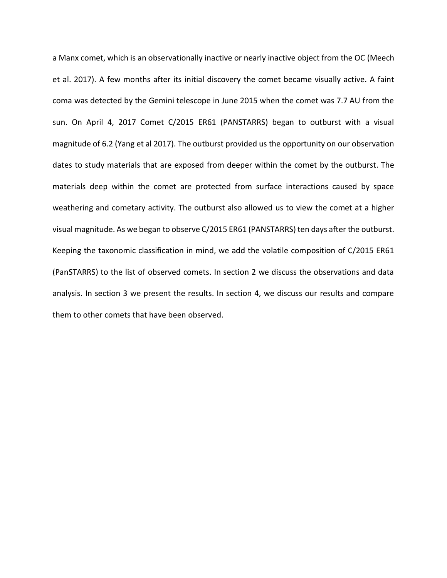a Manx comet, which is an observationally inactive or nearly inactive object from the OC (Meech et al. 2017). A few months after its initial discovery the comet became visually active. A faint coma was detected by the Gemini telescope in June 2015 when the comet was 7.7 AU from the sun. On April 4, 2017 Comet C/2015 ER61 (PANSTARRS) began to outburst with a visual magnitude of 6.2 (Yang et al 2017). The outburst provided us the opportunity on our observation dates to study materials that are exposed from deeper within the comet by the outburst. The materials deep within the comet are protected from surface interactions caused by space weathering and cometary activity. The outburst also allowed us to view the comet at a higher visual magnitude. As we began to observe C/2015 ER61 (PANSTARRS) ten days after the outburst. Keeping the taxonomic classification in mind, we add the volatile composition of C/2015 ER61 (PanSTARRS) to the list of observed comets. In section 2 we discuss the observations and data analysis. In section 3 we present the results. In section 4, we discuss our results and compare them to other comets that have been observed.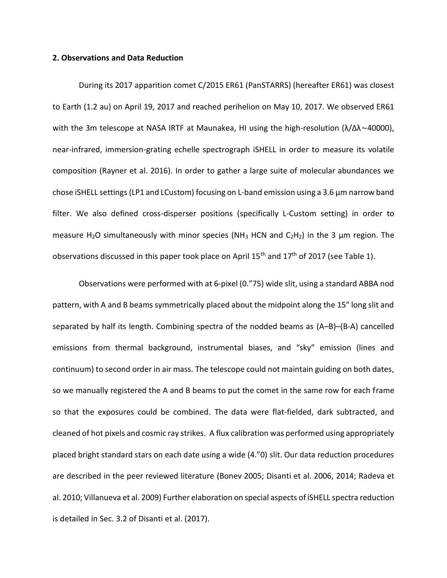#### **2. Observations and Data Reduction**

During its 2017 apparition comet C/2015 ER61 (PanSTARRS) (hereafter ER61) was closest to Earth (1.2 au) on April 19, 2017 and reached perihelion on May 10, 2017. We observed ER61 with the 3m telescope at NASA IRTF at Maunakea, HI using the high-resolution (λ/Δλ~40000), near-infrared, immersion-grating echelle spectrograph iSHELL in order to measure its volatile composition (Rayner et al. 2016). In order to gather a large suite of molecular abundances we chose iSHELL settings (LP1 and LCustom) focusing on L-band emission using a 3.6 μm narrow band filter. We also defined cross-disperser positions (specifically L-Custom setting) in order to measure H<sub>2</sub>O simultaneously with minor species (NH<sub>3</sub> HCN and C<sub>2</sub>H<sub>2</sub>) in the 3 µm region. The observations discussed in this paper took place on April  $15<sup>th</sup>$  and  $17<sup>th</sup>$  of 2017 (see Table 1).

Observations were performed with at 6-pixel (0."75) wide slit, using a standard ABBA nod pattern, with A and B beams symmetrically placed about the midpoint along the 15″ long slit and separated by half its length. Combining spectra of the nodded beams as (A–B)–(B-A) cancelled emissions from thermal background, instrumental biases, and "sky" emission (lines and continuum) to second order in air mass. The telescope could not maintain guiding on both dates, so we manually registered the A and B beams to put the comet in the same row for each frame so that the exposures could be combined. The data were flat-fielded, dark subtracted, and cleaned of hot pixels and cosmic ray strikes. A flux calibration was performed using appropriately placed bright standard stars on each date using a wide (4."0) slit. Our data reduction procedures are described in the peer reviewed literature (Bonev 2005; Disanti et al. 2006, 2014; Radeva et al. 2010; Villanueva et al. 2009) Further elaboration on special aspects of iSHELL spectra reduction is detailed in Sec. 3.2 of Disanti et al. (2017).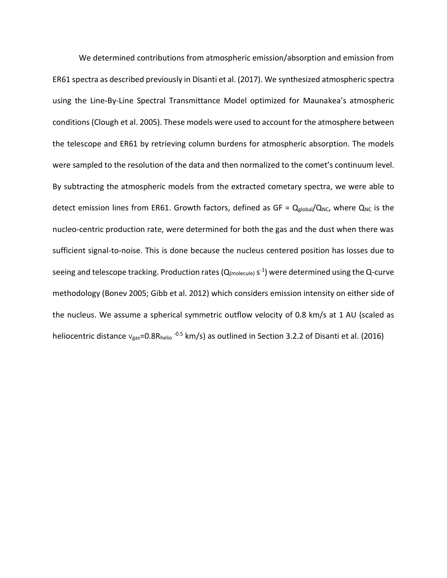We determined contributions from atmospheric emission/absorption and emission from ER61 spectra as described previously in Disanti et al. (2017). We synthesized atmospheric spectra using the Line-By-Line Spectral Transmittance Model optimized for Maunakea's atmospheric conditions (Clough et al. 2005). These models were used to account for the atmosphere between the telescope and ER61 by retrieving column burdens for atmospheric absorption. The models were sampled to the resolution of the data and then normalized to the comet's continuum level. By subtracting the atmospheric models from the extracted cometary spectra, we were able to detect emission lines from ER61. Growth factors, defined as GF =  $Q_{global}/Q_{NC}$ , where  $Q_{NC}$  is the nucleo-centric production rate, were determined for both the gas and the dust when there was sufficient signal-to-noise. This is done because the nucleus centered position has losses due to seeing and telescope tracking. Production rates ( $Q_{(\text{molecule})}$  s<sup>-1</sup>) were determined using the Q-curve methodology (Bonev 2005; Gibb et al. 2012) which considers emission intensity on either side of the nucleus. We assume a spherical symmetric outflow velocity of 0.8 km/s at 1 AU (scaled as heliocentric distance  $v_{gas}$ =0.8R<sub>helio</sub> -<sup>0.5</sup> km/s) as outlined in Section 3.2.2 of Disanti et al. (2016)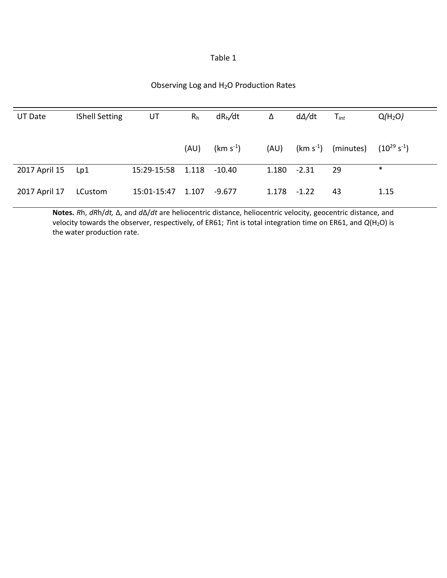| able |  |
|------|--|
|------|--|

## Observing Log and H2O Production Rates

| <b>UT Date</b>     | <b>IShell Setting</b> | UT          | R <sub>h</sub> | dR <sub>h</sub> /dt   | Δ              | d∆/dt | $\mathsf{T}_{int}$            | Q(H <sub>2</sub> O) |
|--------------------|-----------------------|-------------|----------------|-----------------------|----------------|-------|-------------------------------|---------------------|
|                    |                       |             |                |                       |                |       |                               |                     |
|                    |                       |             | (AU)           | (km s <sup>-1</sup> ) |                |       | $(AU)$ $(km s-1)$ $(minutes)$ | $(10^{29} s^{-1})$  |
| 2017 April 15  Lp1 |                       | 15:29-15:58 | 1.118 -10.40   |                       | $1.180 - 2.31$ |       | -29                           | $\ast$              |
| 2017 April 17      | LCustom               | 15:01-15:47 | 1.107          | $-9.677$              | $1.178 - 1.22$ |       | 43                            | 1.15                |

**Notes.** *R*h, *dR*h/*dt,* Δ, and *d*Δ/*dt* are heliocentric distance, heliocentric velocity, geocentric distance, and velocity towards the observer, respectively, of ER61; *Tint is total integration time on ER61*, and *Q*(H<sub>2</sub>O) is the water production rate.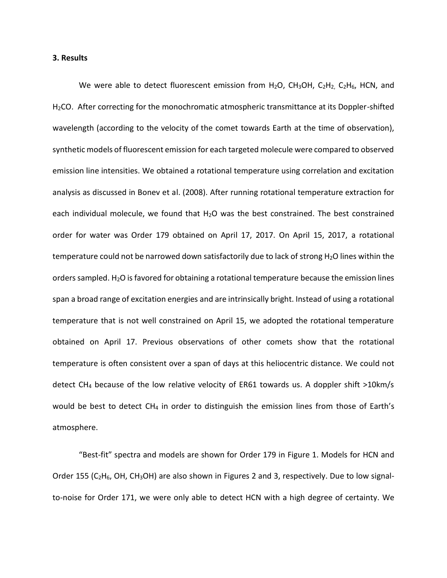#### **3. Results**

We were able to detect fluorescent emission from  $H_2O$ ,  $CH_3OH$ ,  $C_2H_2$ ,  $C_2H_6$ , HCN, and H2CO. After correcting for the monochromatic atmospheric transmittance at its Doppler-shifted wavelength (according to the velocity of the comet towards Earth at the time of observation), synthetic models of fluorescent emission for each targeted molecule were compared to observed emission line intensities. We obtained a rotational temperature using correlation and excitation analysis as discussed in Bonev et al. (2008). After running rotational temperature extraction for each individual molecule, we found that  $H_2O$  was the best constrained. The best constrained order for water was Order 179 obtained on April 17, 2017. On April 15, 2017, a rotational temperature could not be narrowed down satisfactorily due to lack of strong  $H_2O$  lines within the orders sampled.  $H_2O$  is favored for obtaining a rotational temperature because the emission lines span a broad range of excitation energies and are intrinsically bright. Instead of using a rotational temperature that is not well constrained on April 15, we adopted the rotational temperature obtained on April 17. Previous observations of other comets show that the rotational temperature is often consistent over a span of days at this heliocentric distance. We could not detect CH<sup>4</sup> because of the low relative velocity of ER61 towards us. A doppler shift >10km/s would be best to detect CH<sub>4</sub> in order to distinguish the emission lines from those of Earth's atmosphere.

"Best-fit" spectra and models are shown for Order 179 in Figure 1. Models for HCN and Order 155 ( $C_2H_6$ , OH, CH<sub>3</sub>OH) are also shown in Figures 2 and 3, respectively. Due to low signalto-noise for Order 171, we were only able to detect HCN with a high degree of certainty. We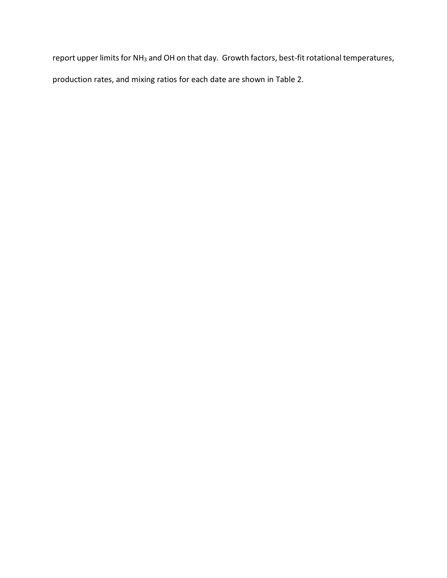report upper limits for NH<sub>3</sub> and OH on that day. Growth factors, best-fit rotational temperatures, production rates, and mixing ratios for each date are shown in Table 2.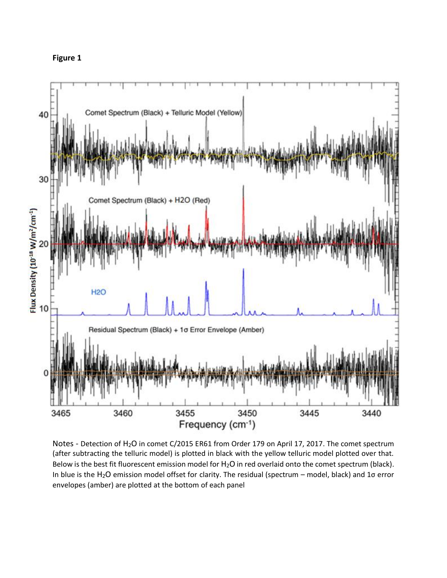



Notes - Detection of H<sub>2</sub>O in comet C/2015 ER61 from Order 179 on April 17, 2017. The comet spectrum (after subtracting the telluric model) is plotted in black with the yellow telluric model plotted over that. Below is the best fit fluorescent emission model for H<sub>2</sub>O in red overlaid onto the comet spectrum (black). In blue is the H<sub>2</sub>O emission model offset for clarity. The residual (spectrum – model, black) and 1 $\sigma$  error envelopes (amber) are plotted at the bottom of each panel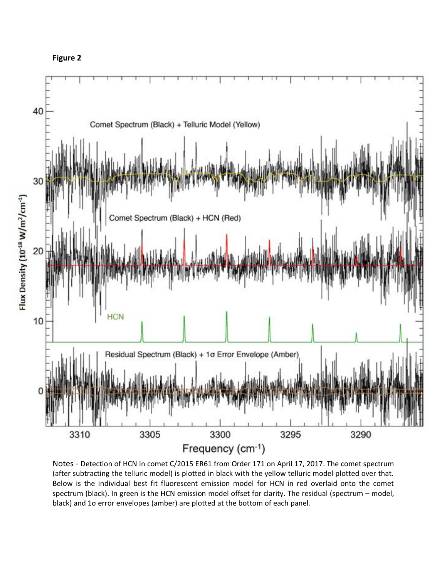



Notes - Detection of HCN in comet C/2015 ER61 from Order 171 on April 17, 2017. The comet spectrum (after subtracting the telluric model) is plotted in black with the yellow telluric model plotted over that. Below is the individual best fit fluorescent emission model for HCN in red overlaid onto the comet spectrum (black). In green is the HCN emission model offset for clarity. The residual (spectrum – model, black) and 1σ error envelopes (amber) are plotted at the bottom of each panel.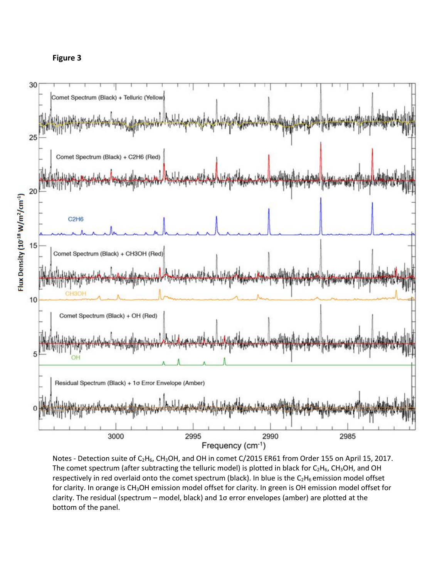



Notes - Detection suite of C<sub>2</sub>H<sub>6</sub>, CH<sub>3</sub>OH, and OH in comet C/2015 ER61 from Order 155 on April 15, 2017. The comet spectrum (after subtracting the telluric model) is plotted in black for  $C_2H_6$ , CH<sub>3</sub>OH, and OH respectively in red overlaid onto the comet spectrum (black). In blue is the  $C_2H_6$  emission model offset for clarity. In orange is CH<sub>3</sub>OH emission model offset for clarity. In green is OH emission model offset for clarity. The residual (spectrum – model, black) and 1σ error envelopes (amber) are plotted at the bottom of the panel.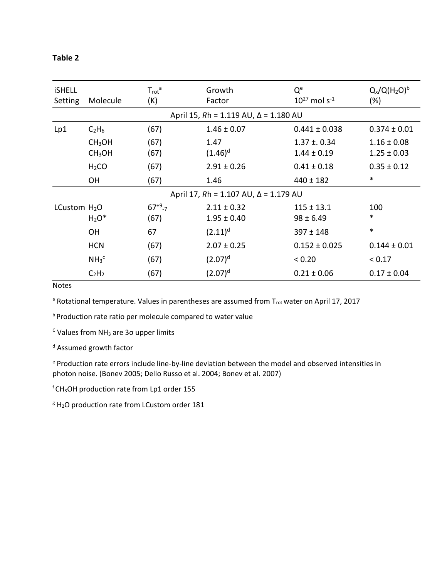## **Table 2**

| <b>iSHELL</b><br>Setting | Molecule                                                        | $T_{\text{rot}}^{\text{a}}$<br>(K) | Growth<br>Factor                                             | Q <sup>e</sup><br>$10^{27}$ mol s <sup>-1</sup> | $Q_x/Q(H_2O)^b$<br>(%) |  |
|--------------------------|-----------------------------------------------------------------|------------------------------------|--------------------------------------------------------------|-------------------------------------------------|------------------------|--|
|                          | April 15, $Rh = 1.119 \text{ AU}$ , $\Delta = 1.180 \text{ AU}$ |                                    |                                                              |                                                 |                        |  |
| Lp1                      | C <sub>2</sub> H <sub>6</sub>                                   | (67)                               | $1.46 \pm 0.07$                                              | $0.441 \pm 0.038$                               | $0.374 \pm 0.01$       |  |
|                          | CH <sub>3</sub> OH                                              | (67)                               | 1.47                                                         | $1.37 \pm 0.34$                                 | $1.16 \pm 0.08$        |  |
|                          | CH <sub>3</sub> OH                                              | (67)                               | $(1.46)^d$                                                   | $1.44 \pm 0.19$                                 | $1.25 \pm 0.03$        |  |
|                          | H <sub>2</sub> CO                                               | (67)                               | $2.91 \pm 0.26$                                              | $0.41 \pm 0.18$                                 | $0.35 \pm 0.12$        |  |
|                          | <b>OH</b>                                                       | (67)                               | 1.46                                                         | $440 \pm 182$                                   | $\ast$                 |  |
|                          |                                                                 |                                    | April 17, $Rh = 1.107 \text{ AU}, \Delta = 1.179 \text{ AU}$ |                                                 |                        |  |
| LCustom $H2O$            |                                                                 | $67^{+9}$ -7                       | $2.11 \pm 0.32$                                              | $115 \pm 13.1$                                  | 100                    |  |
|                          | $H_2O^*$                                                        | (67)                               | $1.95 \pm 0.40$                                              | $98 \pm 6.49$                                   | $\ast$                 |  |
|                          | <b>OH</b>                                                       | 67                                 | $(2.11)^d$                                                   | $397 \pm 148$                                   | $\ast$                 |  |
|                          | <b>HCN</b>                                                      | (67)                               | $2.07 \pm 0.25$                                              | $0.152 \pm 0.025$                               | $0.144 \pm 0.01$       |  |
|                          | NH <sub>3</sub> <sup>c</sup>                                    | (67)                               | $(2.07)^d$                                                   | < 0.20                                          | < 0.17                 |  |
|                          | $C_2H_2$                                                        | (67)                               | $(2.07)^d$                                                   | $0.21 \pm 0.06$                                 | $0.17 \pm 0.04$        |  |

Notes

<sup>a</sup> Rotational temperature. Values in parentheses are assumed from T<sub>rot</sub> water on April 17, 2017

**b** Production rate ratio per molecule compared to water value

 $c$  Values from NH<sub>3</sub> are 3 $\sigma$  upper limits

<sup>d</sup> Assumed growth factor

<sup>e</sup> Production rate errors include line-by-line deviation between the model and observed intensities in photon noise. (Bonev 2005; Dello Russo et al. 2004; Bonev et al. 2007)

<sup>f</sup>CH3OH production rate from Lp1 order 155

 $g H<sub>2</sub>O$  production rate from LCustom order 181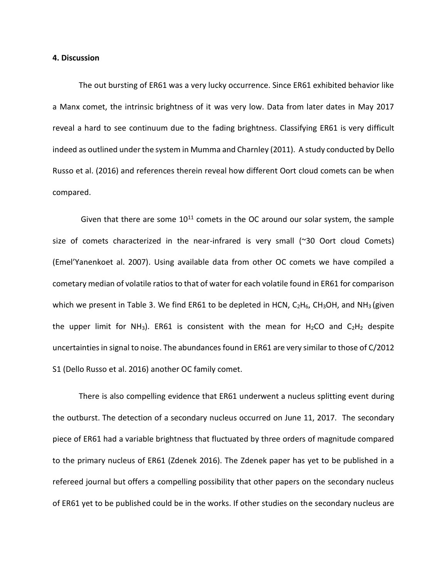## **4. Discussion**

The out bursting of ER61 was a very lucky occurrence. Since ER61 exhibited behavior like a Manx comet, the intrinsic brightness of it was very low. Data from later dates in May 2017 reveal a hard to see continuum due to the fading brightness. Classifying ER61 is very difficult indeed as outlined under the system in Mumma and Charnley (2011). A study conducted by Dello Russo et al. (2016) and references therein reveal how different Oort cloud comets can be when compared.

Given that there are some  $10^{11}$  comets in the OC around our solar system, the sample size of comets characterized in the near-infrared is very small (~30 Oort cloud Comets) (Emel'Yanenkoet al. 2007). Using available data from other OC comets we have compiled a cometary median of volatile ratios to that of water for each volatile found in ER61 for comparison which we present in Table 3. We find ER61 to be depleted in HCN,  $C_2H_6$ , CH<sub>3</sub>OH, and NH<sub>3</sub> (given the upper limit for NH<sub>3</sub>). ER61 is consistent with the mean for H<sub>2</sub>CO and C<sub>2</sub>H<sub>2</sub> despite uncertainties in signal to noise. The abundances found in ER61 are very similar to those of C/2012 S1 (Dello Russo et al. 2016) another OC family comet.

There is also compelling evidence that ER61 underwent a nucleus splitting event during the outburst. The detection of a secondary nucleus occurred on June 11, 2017. The secondary piece of ER61 had a variable brightness that fluctuated by three orders of magnitude compared to the primary nucleus of ER61 (Zdenek 2016). The Zdenek paper has yet to be published in a refereed journal but offers a compelling possibility that other papers on the secondary nucleus of ER61 yet to be published could be in the works. If other studies on the secondary nucleus are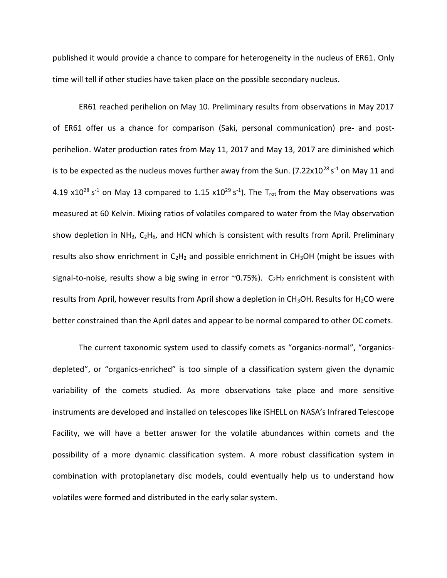published it would provide a chance to compare for heterogeneity in the nucleus of ER61. Only time will tell if other studies have taken place on the possible secondary nucleus.

ER61 reached perihelion on May 10. Preliminary results from observations in May 2017 of ER61 offer us a chance for comparison (Saki, personal communication) pre- and postperihelion. Water production rates from May 11, 2017 and May 13, 2017 are diminished which is to be expected as the nucleus moves further away from the Sun. (7.22x10<sup>28</sup> s<sup>-1</sup> on May 11 and 4.19 x10<sup>28</sup> s<sup>-1</sup> on May 13 compared to 1.15 x10<sup>29</sup> s<sup>-1</sup>). The T<sub>rot</sub> from the May observations was measured at 60 Kelvin. Mixing ratios of volatiles compared to water from the May observation show depletion in NH<sub>3</sub>,  $C_2H_6$ , and HCN which is consistent with results from April. Preliminary results also show enrichment in  $C_2H_2$  and possible enrichment in CH<sub>3</sub>OH (might be issues with signal-to-noise, results show a big swing in error  $\sim$ 0.75%). C<sub>2</sub>H<sub>2</sub> enrichment is consistent with results from April, however results from April show a depletion in  $CH<sub>3</sub>OH$ . Results for  $H<sub>2</sub>CO$  were better constrained than the April dates and appear to be normal compared to other OC comets.

The current taxonomic system used to classify comets as "organics-normal", "organicsdepleted", or "organics-enriched" is too simple of a classification system given the dynamic variability of the comets studied. As more observations take place and more sensitive instruments are developed and installed on telescopes like iSHELL on NASA's Infrared Telescope Facility, we will have a better answer for the volatile abundances within comets and the possibility of a more dynamic classification system. A more robust classification system in combination with protoplanetary disc models, could eventually help us to understand how volatiles were formed and distributed in the early solar system.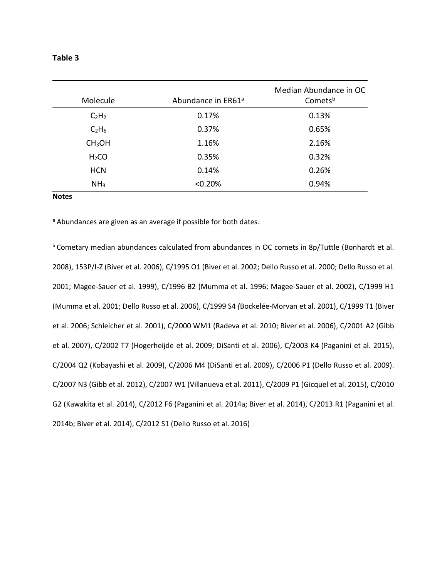## **Table 3**

| Molecule                      | Abundance in ER61 <sup>a</sup> | Median Abundance in OC<br>Comets <sup>b</sup> |
|-------------------------------|--------------------------------|-----------------------------------------------|
| C <sub>2</sub> H <sub>2</sub> | 0.17%                          | 0.13%                                         |
| C <sub>2</sub> H <sub>6</sub> | 0.37%                          | 0.65%                                         |
| CH <sub>3</sub> OH            | 1.16%                          | 2.16%                                         |
| H <sub>2</sub> CO             | 0.35%                          | 0.32%                                         |
| <b>HCN</b>                    | 0.14%                          | 0.26%                                         |
| NH <sub>3</sub>               | < 0.20%                        | 0.94%                                         |

#### **Notes**

**<sup>a</sup>** Abundances are given as an average if possible for both dates.

**b** Cometary median abundances calculated from abundances in OC comets in 8p/Tuttle (Bonhardt et al. 2008), 153P/I-Z (Biver et al. 2006), C/1995 O1 (Biver et al. 2002; Dello Russo et al. 2000; Dello Russo et al. 2001; Magee-Sauer et al. 1999), C/1996 B2 (Mumma et al. 1996; Magee-Sauer et al. 2002), C/1999 H1 (Mumma et al. 2001; Dello Russo et al. 2006), C/1999 S4 *(*Bockelée-Morvan et al. 2001), C/1999 T1 (Biver et al. 2006; Schleicher et al. 2001), C/2000 WM1 (Radeva et al. 2010; Biver et al. 2006), C/2001 A2 (Gibb et al. 2007), C/2002 T7 (Hogerheijde et al. 2009; DiSanti et al. 2006), C/2003 K4 (Paganini et al. 2015), C/2004 Q2 (Kobayashi et al. 2009), C/2006 M4 (DiSanti et al. 2009), C/2006 P1 (Dello Russo et al. 2009). C/2007 N3 (Gibb et al. 2012), C/2007 W1 (Villanueva et al. 2011), C/2009 P1 (Gicquel et al. 2015), C/2010 G2 (Kawakita et al. 2014), C/2012 F6 (Paganini et al. 2014a; Biver et al. 2014), C/2013 R1 (Paganini et al. 2014b; Biver et al. 2014), C/2012 S1 (Dello Russo et al. 2016)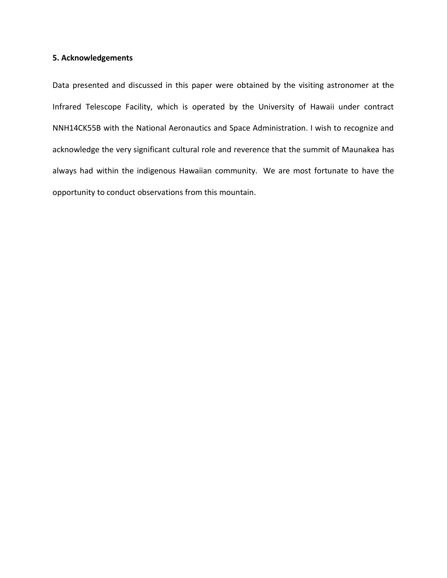## **5. Acknowledgements**

Data presented and discussed in this paper were obtained by the visiting astronomer at the Infrared Telescope Facility, which is operated by the University of Hawaii under contract NNH14CK55B with the National Aeronautics and Space Administration. I wish to recognize and acknowledge the very significant cultural role and reverence that the summit of Maunakea has always had within the indigenous Hawaiian community. We are most fortunate to have the opportunity to conduct observations from this mountain.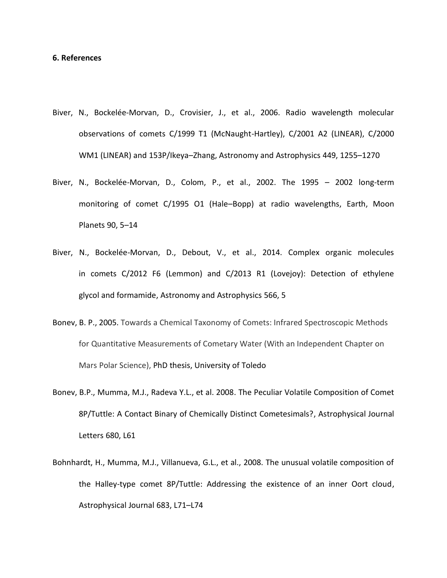## **6. References**

- Biver, N., Bockelée-Morvan, D., Crovisier, J., et al., 2006. Radio wavelength molecular observations of comets C/1999 T1 (McNaught-Hartley), C/2001 A2 (LINEAR), C/2000 WM1 (LINEAR) and 153P/Ikeya–Zhang, Astronomy and Astrophysics 449, 1255–1270
- Biver, N., Bockelée-Morvan, D., Colom, P., et al., 2002. The 1995 2002 long-term monitoring of comet C/1995 O1 (Hale–Bopp) at radio wavelengths, Earth, Moon Planets 90, 5–14
- Biver, N., Bockelée-Morvan, D., Debout, V., et al., 2014. Complex organic molecules in comets C/2012 F6 (Lemmon) and C/2013 R1 (Lovejoy): Detection of ethylene glycol and formamide, Astronomy and Astrophysics 566, 5
- Bonev, B. P., 2005. Towards a Chemical Taxonomy of Comets: Infrared Spectroscopic Methods for Quantitative Measurements of Cometary Water (With an Independent Chapter on Mars Polar Science), PhD thesis, University of Toledo
- Bonev, B.P., Mumma, M.J., Radeva Y.L., et al. 2008. The Peculiar Volatile Composition of Comet 8P/Tuttle: A Contact Binary of Chemically Distinct Cometesimals?, Astrophysical Journal Letters 680, L61
- Bohnhardt, H., Mumma, M.J., Villanueva, G.L., et al., 2008. The unusual volatile composition of the Halley-type comet 8P/Tuttle: Addressing the existence of an inner Oort cloud, Astrophysical Journal 683, L71–L74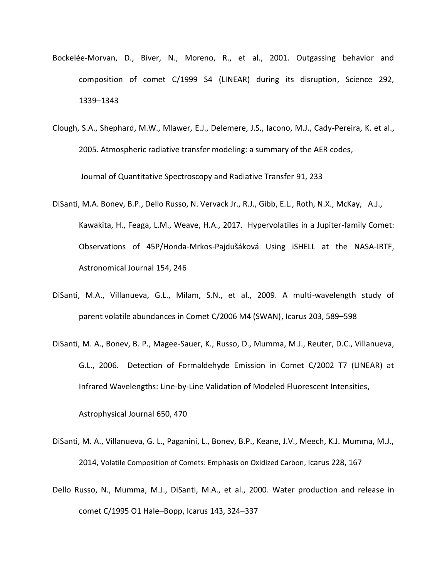- Bockelée-Morvan, D., Biver, N., Moreno, R., et al., 2001. Outgassing behavior and composition of comet C/1999 S4 (LINEAR) during its disruption, Science 292, 1339–1343
- Clough, S.A., Shephard, M.W., Mlawer, E.J., Delemere, J.S., Iacono, M.J., Cady-Pereira, K. et al., 2005. Atmospheric radiative transfer modeling: a summary of the AER codes,

Journal of Quantitative Spectroscopy and Radiative Transfer 91, 233

- DiSanti, M.A. Bonev, B.P., Dello Russo, N. Vervack Jr., R.J., Gibb, E.L., Roth, N.X., McKay, A.J., Kawakita, H., Feaga, L.M., Weave, H.A., 2017. [Hypervolatiles in a Jupiter-family Comet:](http://dx.doi.org/10.3847/1538-3881/aa8639)  Observations of 45P/Honda-Mrkos-[Pajdušáková Using iSHELL at the NASA](http://dx.doi.org/10.3847/1538-3881/aa8639)-IRTF, Astronomical Journal 154, 246
- DiSanti, M.A., Villanueva, G.L., Milam, S.N., et al., 2009. A multi-wavelength study of parent volatile abundances in Comet C/2006 M4 (SWAN), Icarus 203, 589–598
- DiSanti, M. A., Bonev, B. P., Magee-Sauer, K., Russo, D., Mumma, M.J., Reuter, D.C., Villanueva, G.L., 2006. Detection of Formaldehyde Emission in Comet C/2002 T7 (LINEAR) at Infrared Wavelengths: Line-by-Line Validation of Modeled Fluorescent Intensities,

Astrophysical Journal 650, 470

- DiSanti, M. A., Villanueva, G. L., Paganini, L., Bonev, B.P., Keane, J.V., Meech, K.J. Mumma, M.J., 2014, Volatile Composition of Comets: Emphasis on Oxidized Carbon, Icarus 228, 167
- Dello Russo, N., Mumma, M.J., DiSanti, M.A., et al., 2000. Water production and release in comet C/1995 O1 Hale–Bopp, Icarus 143, 324–337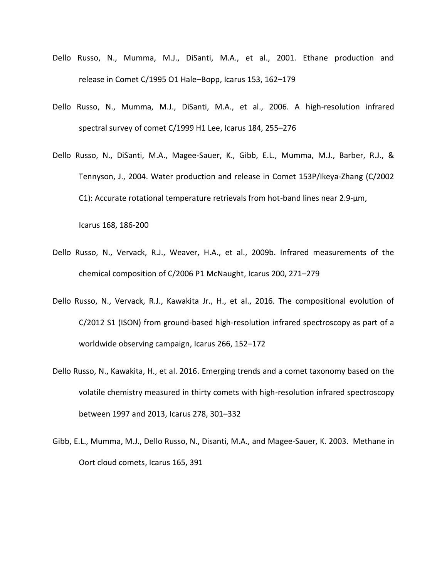- Dello Russo, N., Mumma, M.J., DiSanti, M.A., et al., 2001. Ethane production and release in Comet C/1995 O1 Hale–Bopp, Icarus 153, 162–179
- Dello Russo, N., Mumma, M.J., DiSanti, M.A., et al., 2006. A high-resolution infrared spectral survey of comet C/1999 H1 Lee, Icarus 184, 255–276
- Dello Russo, N., DiSanti, M.A., Magee-Sauer, K., Gibb, E.L., Mumma, M.J., Barber, R.J., & Tennyson, J., 2004. Water production and release in Comet 153P/Ikeya-Zhang (C/2002 C1): Accurate rotational temperature retrievals from hot-band lines near 2.9-μm,

Icarus 168, 186-200

- Dello Russo, N., Vervack, R.J., Weaver, H.A., et al., 2009b. Infrared measurements of the chemical composition of C/2006 P1 McNaught, Icarus 200, 271–279
- Dello Russo, N., Vervack, R.J., Kawakita Jr., H., et al., 2016. The compositional evolution of C/2012 S1 (ISON) from ground-based high-resolution infrared spectroscopy as part of a worldwide observing campaign, Icarus 266, 152–172
- Dello Russo, N., Kawakita, H., et al. 2016. Emerging trends and a comet taxonomy based on the volatile chemistry measured in thirty comets with high-resolution infrared spectroscopy between 1997 and 2013, Icarus 278, 301–332
- Gibb, E.L., Mumma, M.J., Dello Russo, N., Disanti, M.A., and Magee-Sauer, K. 2003. Methane in Oort cloud comets, Icarus 165, 391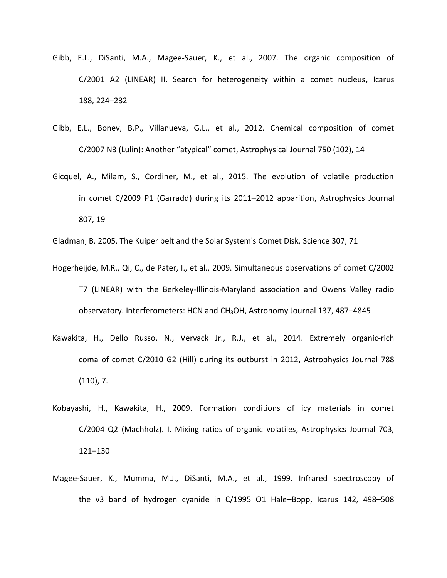- Gibb, E.L., DiSanti, M.A., Magee-Sauer, K., et al., 2007. The organic composition of C/2001 A2 (LINEAR) II. Search for heterogeneity within a comet nucleus, Icarus 188, 224–232
- Gibb, E.L., Bonev, B.P., Villanueva, G.L., et al., 2012. Chemical composition of comet C/2007 N3 (Lulin): Another "atypical" comet, Astrophysical Journal 750 (102), 14
- Gicquel, A., Milam, S., Cordiner, M., et al., 2015. The evolution of volatile production in comet C/2009 P1 (Garradd) during its 2011–2012 apparition, Astrophysics Journal 807, 19

Gladman, B. 2005. The Kuiper belt and the Solar System's Comet Disk, Science 307, 71

- Hogerheijde, M.R., Qi, C., de Pater, I., et al., 2009. Simultaneous observations of comet C/2002 T7 (LINEAR) with the Berkeley-Illinois-Maryland association and Owens Valley radio observatory. Interferometers: HCN and CH3OH, Astronomy Journal 137, 487–4845
- Kawakita, H., Dello Russo, N., Vervack Jr., R.J., et al., 2014. Extremely organic-rich coma of comet C/2010 G2 (Hill) during its outburst in 2012, Astrophysics Journal 788 (110), 7.
- Kobayashi, H., Kawakita, H., 2009. Formation conditions of icy materials in comet C/2004 Q2 (Machholz). I. Mixing ratios of organic volatiles, Astrophysics Journal 703, 121–130
- Magee-Sauer, K., Mumma, M.J., DiSanti, M.A., et al., 1999. Infrared spectroscopy of the ν3 band of hydrogen cyanide in C/1995 O1 Hale–Bopp, Icarus 142, 498–508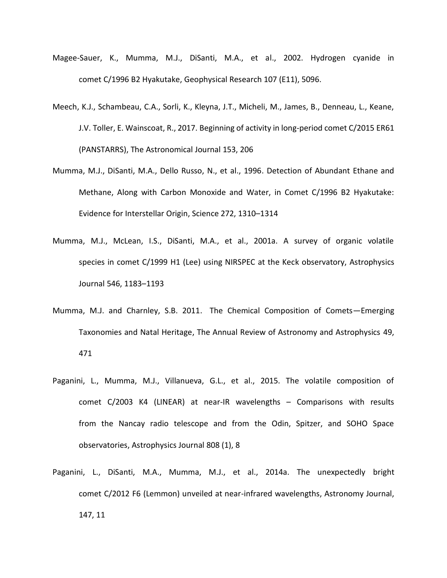- Magee-Sauer, K., Mumma, M.J., DiSanti, M.A., et al., 2002. Hydrogen cyanide in comet C/1996 B2 Hyakutake, Geophysical Research 107 (E11), 5096.
- Meech, K.J., Schambeau, C.A., Sorli, K., Kleyna, J.T., Micheli, M., James, B., Denneau, L., Keane, J.V. Toller, E. Wainscoat, R., 2017. Beginning of activity in long-period comet C/2015 ER61 (PANSTARRS), The Astronomical Journal 153, 206
- Mumma, M.J., DiSanti, M.A., Dello Russo, N., et al., 1996. Detection of Abundant Ethane and Methane, Along with Carbon Monoxide and Water, in Comet C/1996 B2 Hyakutake: Evidence for Interstellar Origin, Science 272, 1310–1314
- Mumma, M.J., McLean, I.S., DiSanti, M.A., et al., 2001a. A survey of organic volatile species in comet C/1999 H1 (Lee) using NIRSPEC at the Keck observatory, Astrophysics Journal 546, 1183–1193
- Mumma, M.J. and Charnley, S.B. 2011. The Chemical Composition of Comets—Emerging Taxonomies and Natal Heritage, The Annual Review of Astronomy and Astrophysics 49, 471
- Paganini, L., Mumma, M.J., Villanueva, G.L., et al., 2015. The volatile composition of comet C/2003 K4 (LINEAR) at near-IR wavelengths – Comparisons with results from the Nancay radio telescope and from the Odin, Spitzer, and SOHO Space observatories, Astrophysics Journal 808 (1), 8
- Paganini, L., DiSanti, M.A., Mumma, M.J., et al., 2014a. The unexpectedly bright comet C/2012 F6 (Lemmon) unveiled at near-infrared wavelengths, Astronomy Journal, 147, 11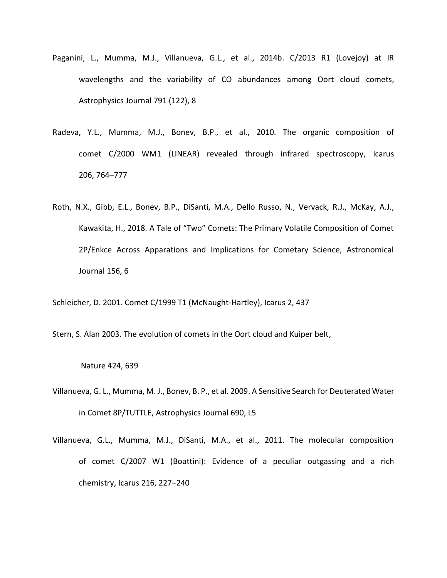- Paganini, L., Mumma, M.J., Villanueva, G.L., et al., 2014b. C/2013 R1 (Lovejoy) at IR wavelengths and the variability of CO abundances among Oort cloud comets, Astrophysics Journal 791 (122), 8
- Radeva, Y.L., Mumma, M.J., Bonev, B.P., et al., 2010. The organic composition of comet C/2000 WM1 (LINEAR) revealed through infrared spectroscopy, Icarus 206, 764–777
- Roth, N.X., Gibb, E.L., Bonev, B.P., DiSanti, M.A., Dello Russo, N., Vervack, R.J., McKay, A.J., Kawakita, H., 2018. A Tale of "Two" Comets: The Primary Volatile Composition of Comet 2P/Enkce Across Apparations and Implications for Cometary Science, Astronomical Journal 156, 6
- Schleicher, D. 2001. Comet C/1999 T1 (McNaught-Hartley), Icarus 2, 437
- Stern, S. Alan 2003. The evolution of comets in the Oort cloud and Kuiper belt,

### Nature 424, 639

- Villanueva, G. L., Mumma, M. J., Bonev, B. P., et al. 2009. A Sensitive Search for Deuterated Water in Comet 8P/TUTTLE, Astrophysics Journal 690, L5
- Villanueva, G.L., Mumma, M.J., DiSanti, M.A., et al., 2011. The molecular composition of comet C/2007 W1 (Boattini): Evidence of a peculiar outgassing and a rich chemistry, Icarus 216, 227–240